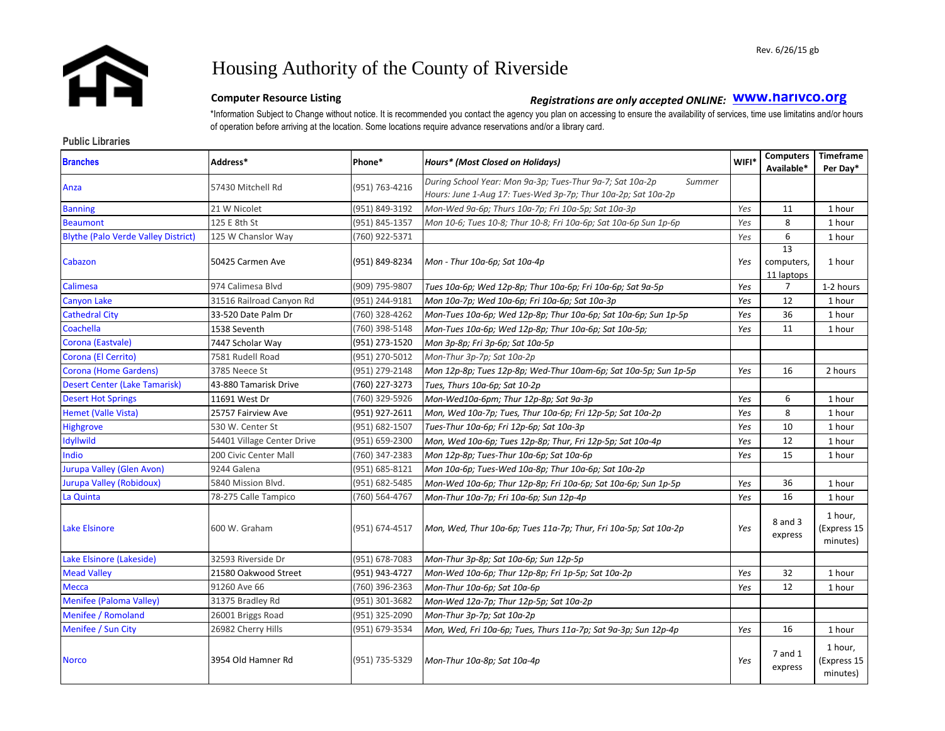

# Housing Authority of the County of Riverside

# **Computer Resource Listing** *Registrations are only accepted ONLINE***: <b>WWW.harivco.org**

\*Information Subject to Change without notice. It is recommended you contact the agency you plan on accessing to ensure the availability of services, time use limitatins and/or hours of operation before arriving at the location. Some locations require advance reservations and/or a library card.

### **Public Libraries**

| <b>Branches</b>                            | Address*                   | Phone*         | <b>Hours*</b> (Most Closed on Holidays)                                                                                              | WIFI* | <b>Computers</b><br>Available* | Timeframe<br>Per Day*              |
|--------------------------------------------|----------------------------|----------------|--------------------------------------------------------------------------------------------------------------------------------------|-------|--------------------------------|------------------------------------|
| Anza                                       | 57430 Mitchell Rd          | (951) 763-4216 | During School Year: Mon 9a-3p; Tues-Thur 9a-7; Sat 10a-2p<br>Summer<br>Hours: June 1-Aug 17: Tues-Wed 3p-7p; Thur 10a-2p; Sat 10a-2p |       |                                |                                    |
| <b>Banning</b>                             | 21 W Nicolet               | (951) 849-3192 | Mon-Wed 9a-6p; Thurs 10a-7p; Fri 10a-5p; Sat 10a-3p                                                                                  | Yes   | 11                             | 1 hour                             |
| <b>Beaumont</b>                            | 125 E 8th St               | (951) 845-1357 | Mon 10-6; Tues 10-8; Thur 10-8; Fri 10a-6p; Sat 10a-6p Sun 1p-6p                                                                     | Yes   | 8                              | 1 hour                             |
| <b>Blythe (Palo Verde Valley District)</b> | 125 W Chanslor Way         | (760) 922-5371 |                                                                                                                                      | Yes   | 6                              | 1 hour                             |
| Cabazon                                    | 50425 Carmen Ave           | (951) 849-8234 | Mon - Thur 10a-6p; Sat 10a-4p                                                                                                        | Yes   | 13<br>computers,<br>11 laptops | 1 hour                             |
| Calimesa                                   | 974 Calimesa Blvd          | (909) 795-9807 | Tues 10a-6p; Wed 12p-8p; Thur 10a-6p; Fri 10a-6p; Sat 9a-5p                                                                          | Yes   | 7                              | 1-2 hours                          |
| Canyon Lake                                | 31516 Railroad Canyon Rd   | (951) 244-9181 | Mon 10a-7p; Wed 10a-6p; Fri 10a-6p; Sat 10a-3p                                                                                       | Yes   | 12                             | 1 hour                             |
| <b>Cathedral City</b>                      | 33-520 Date Palm Dr        | (760) 328-4262 | Mon-Tues 10a-6p; Wed 12p-8p; Thur 10a-6p; Sat 10a-6p; Sun 1p-5p                                                                      | Yes   | 36                             | 1 hour                             |
| Coachella                                  | 1538 Seventh               | (760) 398-5148 | Mon-Tues 10a-6p; Wed 12p-8p; Thur 10a-6p; Sat 10a-5p;                                                                                | Yes   | 11                             | 1 hour                             |
| Corona (Eastvale)                          | 7447 Scholar Way           | (951) 273-1520 | Mon 3p-8p; Fri 3p-6p; Sat 10a-5p                                                                                                     |       |                                |                                    |
| Corona (El Cerrito)                        | 7581 Rudell Road           | (951) 270-5012 | Mon-Thur 3p-7p; Sat 10a-2p                                                                                                           |       |                                |                                    |
| Corona (Home Gardens)                      | 3785 Neece St              | (951) 279-2148 | Mon 12p-8p; Tues 12p-8p; Wed-Thur 10am-6p; Sat 10a-5p; Sun 1p-5p                                                                     | Yes   | 16                             | 2 hours                            |
| <b>Desert Center (Lake Tamarisk)</b>       | 43-880 Tamarisk Drive      | (760) 227-3273 | Tues, Thurs 10a-6p; Sat 10-2p                                                                                                        |       |                                |                                    |
| <b>Desert Hot Springs</b>                  | 11691 West Dr              | (760) 329-5926 | Mon-Wed10a-6pm; Thur 12p-8p; Sat 9a-3p                                                                                               | Yes   | 6                              | 1 hour                             |
| Hemet (Valle Vista)                        | 25757 Fairview Ave         | (951) 927-2611 | Mon, Wed 10a-7p; Tues, Thur 10a-6p; Fri 12p-5p; Sat 10a-2p                                                                           | Yes   | 8                              | 1 hour                             |
| <b>Highgrove</b>                           | 530 W. Center St           | (951) 682-1507 | Tues-Thur 10a-6p; Fri 12p-6p; Sat 10a-3p                                                                                             | Yes   | 10                             | 1 hour                             |
| <b>Idyllwild</b>                           | 54401 Village Center Drive | (951) 659-2300 | Mon, Wed 10a-6p; Tues 12p-8p; Thur, Fri 12p-5p; Sat 10a-4p                                                                           | Yes   | 12                             | 1 hour                             |
| Indio                                      | 200 Civic Center Mall      | (760) 347-2383 | Mon 12p-8p; Tues-Thur 10a-6p; Sat 10a-6p                                                                                             | Yes   | 15                             | 1 hour                             |
| Jurupa Valley (Glen Avon)                  | 9244 Galena                | (951) 685-8121 | Mon 10a-6p; Tues-Wed 10a-8p; Thur 10a-6p; Sat 10a-2p                                                                                 |       |                                |                                    |
| <b>Jurupa Valley (Robidoux)</b>            | 5840 Mission Blvd.         | (951) 682-5485 | Mon-Wed 10a-6p; Thur 12p-8p; Fri 10a-6p; Sat 10a-6p; Sun 1p-5p                                                                       | Yes   | 36                             | 1 hour                             |
| La Quinta                                  | 78-275 Calle Tampico       | (760) 564-4767 | Mon-Thur 10a-7p; Fri 10a-6p; Sun 12p-4p                                                                                              | Yes   | 16                             | 1 hour                             |
| <b>Lake Elsinore</b>                       | 600 W. Graham              | (951) 674-4517 | Mon, Wed, Thur 10a-6p; Tues 11a-7p; Thur, Fri 10a-5p; Sat 10a-2p                                                                     | Yes   | 8 and 3<br>express             | 1 hour,<br>(Express 15<br>minutes) |
| Lake Elsinore (Lakeside)                   | 32593 Riverside Dr         | (951) 678-7083 | Mon-Thur 3p-8p; Sat 10a-6p; Sun 12p-5p                                                                                               |       |                                |                                    |
| <b>Mead Valley</b>                         | 21580 Oakwood Street       | (951) 943-4727 | Mon-Wed 10a-6p; Thur 12p-8p; Fri 1p-5p; Sat 10a-2p                                                                                   | Yes   | 32                             | 1 hour                             |
| Mecca                                      | 91260 Ave 66               | (760) 396-2363 | Mon-Thur 10a-6p; Sat 10a-6p                                                                                                          | Yes   | 12                             | 1 hour                             |
| Menifee (Paloma Valley)                    | 31375 Bradley Rd           | (951) 301-3682 | Mon-Wed 12a-7p; Thur 12p-5p; Sat 10a-2p                                                                                              |       |                                |                                    |
| Menifee / Romoland                         | 26001 Briggs Road          | (951) 325-2090 | Mon-Thur 3p-7p; Sat 10a-2p                                                                                                           |       |                                |                                    |
| Menifee / Sun City                         | 26982 Cherry Hills         | (951) 679-3534 | Mon, Wed, Fri 10a-6p; Tues, Thurs 11a-7p; Sat 9a-3p; Sun 12p-4p                                                                      | Yes   | 16                             | 1 hour                             |
| <b>Norco</b>                               | 3954 Old Hamner Rd         | (951) 735-5329 | Mon-Thur 10a-8p; Sat 10a-4p                                                                                                          | Yes   | 7 and 1<br>express             | 1 hour,<br>(Express 15<br>minutes) |